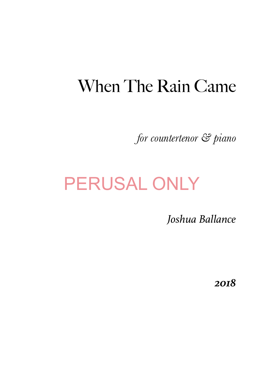## When The Rain Came

*for countertenor & piano* 

# PERUSAL ONLY

*Joshua Ballance*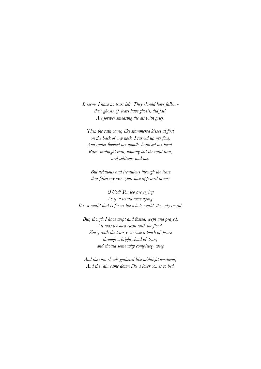*It seems I have no tears left. They should have fallen their ghosts, if tears have ghosts, did fall, Are forever smearing the air with grief.* 

*Then the rain came, like stammered kisses at first on the back of my neck. I turned up my face, And water flooded my mouth, baptised my head. Rain, midnight rain, nothing but the wild rain, and solitude, and me.* 

*But nebulous and tremulous through the tears that filled my eyes, your face appeared to me;* 

*O God! You too are crying As if a world were dying. It is a world that is for us the whole world, the only world,*

*But, though I have wept and fasted, wept and prayed, All was washed clean with the flood. Since, with the tears you sense a touch of peace through a bright cloud of tears, and should some why completely weep* 

*And the rain clouds gathered like midnight overhead, And the rain came down like a lover comes to bed.*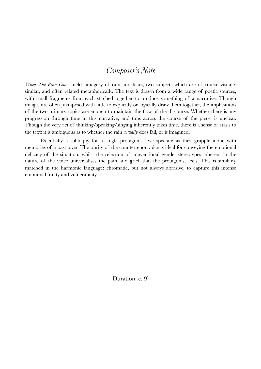#### *Composer's Note*

*When The Rain Came* melds imagery of rain and tears, two subjects which are of course visually similar, and often related metaphorically. The text is drawn from a wide range of poetic sources, with small fragments from each stitched together to produce something of a narrative. Though images are often juxtaposed with little to explicitly or logically draw them together, the implications of the two primary topics are enough to maintain the flow of the discourse. Whether there is any progression through time in this narrative, and thus across the course of the piece, is unclear. Though the very act of thinking/speaking/singing inherently takes time, there is a sense of stasis to the text: it is ambiguous as to whether the rain *actually* does fall, or is imagined.

Essentially a soliloquy for a single protagonist, we spectate as they grapple alone with memories of a past lover. The purity of the countertenor voice is ideal for conveying the emotional delicacy of the situation, whilst the rejection of conventional gender-stereotypes inherent in the nature of the voice universalises the pain and grief that the protagonist feels. This is similarly matched in the harmonic language: chromatic, but not always abrasive, to capture this intense emotional frailty and vulnerability.

Duration: c. 9'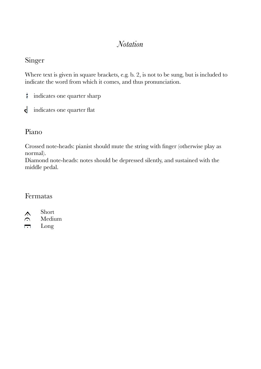### *Notation*

#### Singer

Where text is given in square brackets, e.g. b. 2, is not to be sung, but is included to indicate the word from which it comes, and thus pronunciation.

- indicates one quarter sharp  $\ddagger$
- indicates one quarter flat

#### Piano

Crossed note-heads: pianist should mute the string with finger (otherwise play as normal).

Diamond note-heads: notes should be depressed silently, and sustained with the middle pedal.

#### Fermatas

| $\Lambda$<br>$\Omega$ | Short  |
|-----------------------|--------|
|                       | Medium |
|                       | محمد ا |

 $\Box$  Long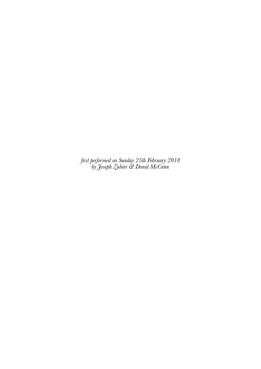*first performed on Sunday 25th February 2018 by Joseph Zubier & Donal McCann*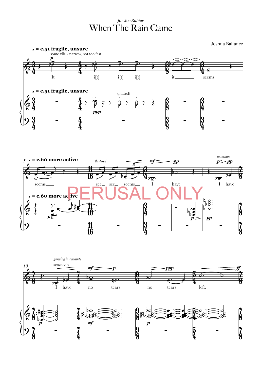#### When The Rain Came *for Joe Zubier*

Joshua Ballance





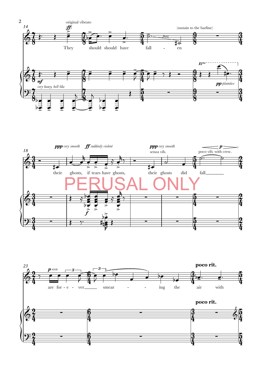



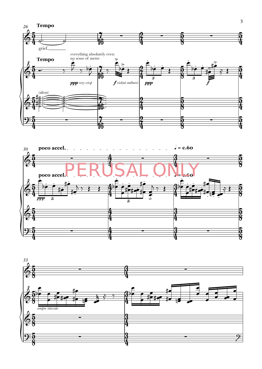



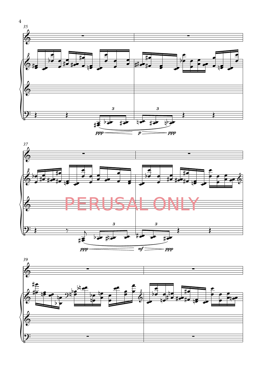





 $\overline{\mathbf{4}}$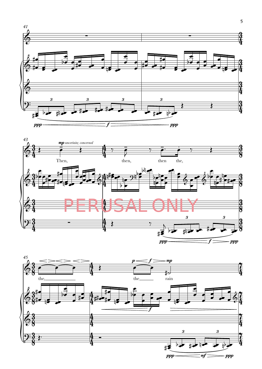



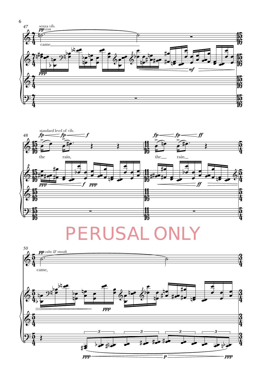





 $\boldsymbol{6}$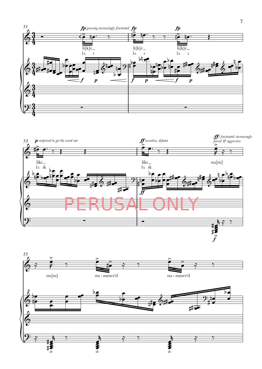



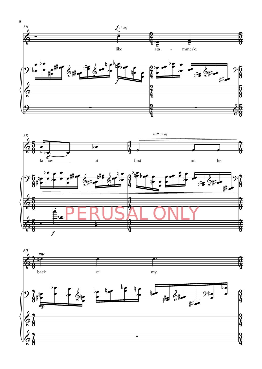





 $\,8\,$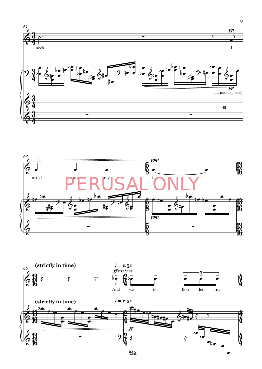



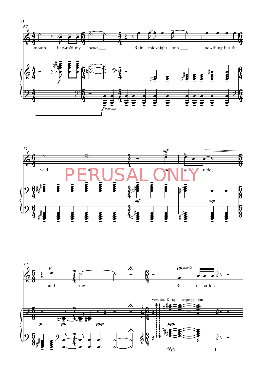



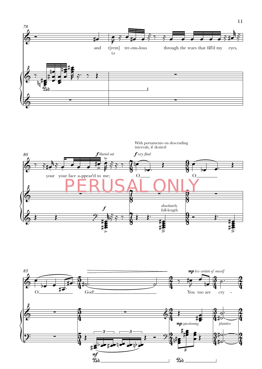



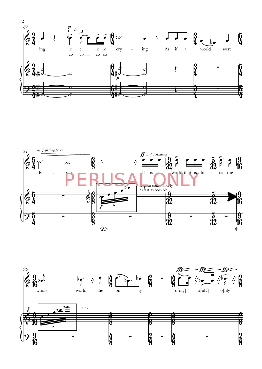



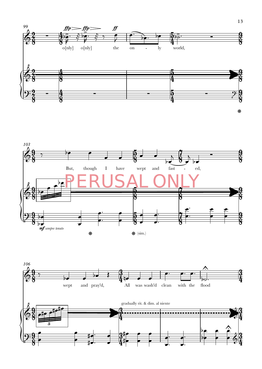



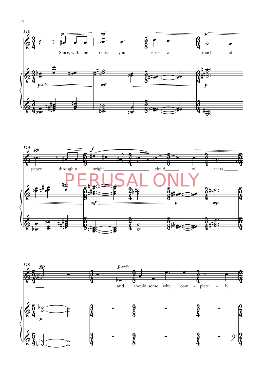



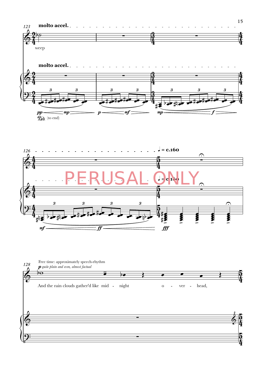





5<br>4